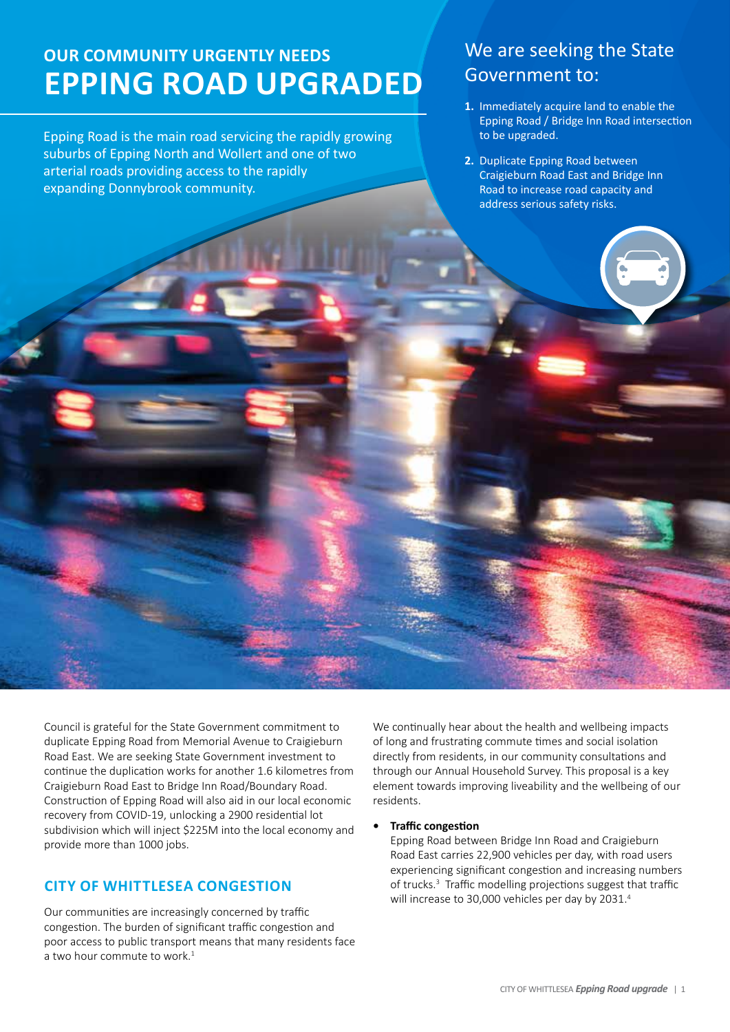# **Our community urgently needs EPPING ROAD UPGRADED**

Epping Road is the main road servicing the rapidly growing suburbs of Epping North and Wollert and one of two arterial roads providing access to the rapidly expanding Donnybrook community.

# We are seeking the State Government to:

- **1.** Immediately acquire land to enable the Epping Road / Bridge Inn Road intersection to be upgraded.
- **2.** Duplicate Epping Road between Craigieburn Road East and Bridge Inn Road to increase road capacity and address serious safety risks.

Council is grateful for the State Government commitment to duplicate Epping Road from Memorial Avenue to Craigieburn Road East. We are seeking State Government investment to continue the duplication works for another 1.6 kilometres from Craigieburn Road East to Bridge Inn Road/Boundary Road. Construction of Epping Road will also aid in our local economic recovery from COVID-19, unlocking a 2900 residential lot subdivision which will inject \$225M into the local economy and provide more than 1000 jobs.

# **City of Whittlesea congestion**

Our communities are increasingly concerned by traffic congestion. The burden of significant traffic congestion and poor access to public transport means that many residents face a two hour commute to work.<sup>1</sup>

We continually hear about the health and wellbeing impacts of long and frustrating commute times and social isolation directly from residents, in our community consultations and through our Annual Household Survey. This proposal is a key element towards improving liveability and the wellbeing of our residents.

#### *<u>Traffic congestion</u>*

Epping Road between Bridge Inn Road and Craigieburn Road East carries 22,900 vehicles per day, with road users experiencing significant congestion and increasing numbers of trucks.<sup>3</sup> Traffic modelling projections suggest that traffic will increase to 30,000 vehicles per day by 2031.<sup>4</sup>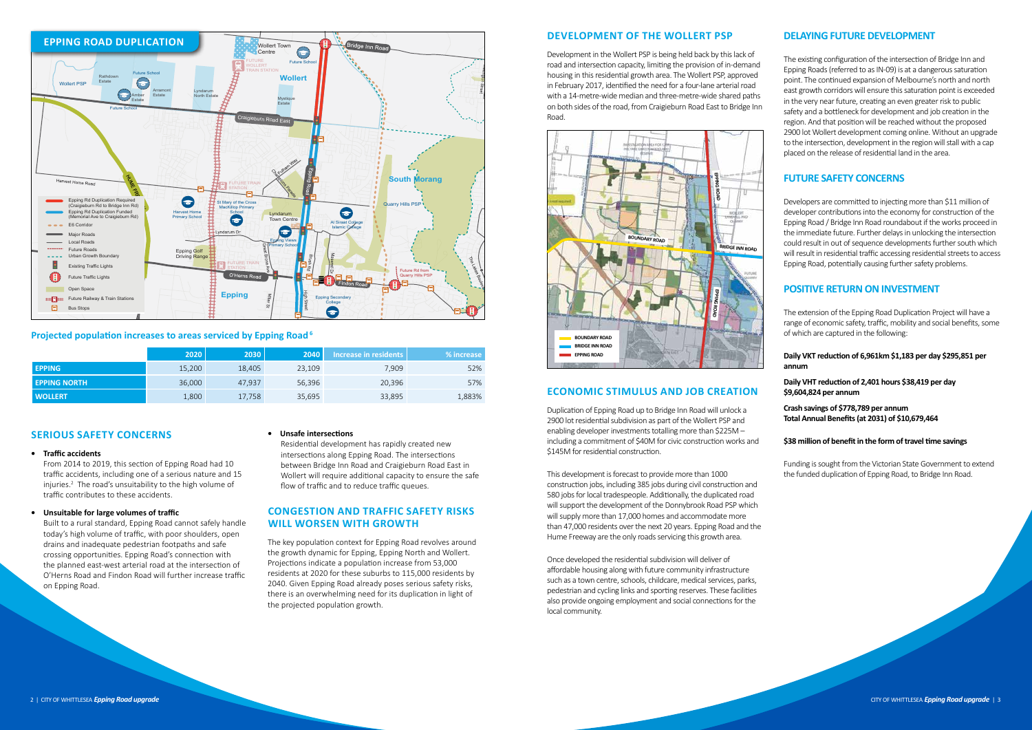## **Serious safety concerns**

#### **• Traffic accidents**

From 2014 to 2019, this section of Epping Road had 10 traffic accidents, including one of a serious nature and 15 injuries.<sup>2</sup> The road's unsuitability to the high volume of traffic contributes to these accidents.

#### **• Unsuitable for large volumes of traffic**

Built to a rural standard, Epping Road cannot safely handle today's high volume of traffic, with poor shoulders, open drains and inadequate pedestrian footpaths and safe crossing opportunities. Epping Road's connection with the planned east-west arterial road at the intersection of O'Herns Road and Findon Road will further increase traffic on Epping Road.

#### **• Unsafe intersections**

Residential development has rapidly created new intersections along Epping Road. The intersections between Bridge Inn Road and Craigieburn Road East in Wollert will require additional capacity to ensure the safe flow of traffic and to reduce traffic queues.

## **Congestion and traffic safety risks will worsen with growth**

The key population context for Epping Road revolves around the growth dynamic for Epping, Epping North and Wollert. Projections indicate a population increase from 53,000 residents at 2020 for these suburbs to 115,000 residents by 2040. Given Epping Road already poses serious safety risks, there is an overwhelming need for its duplication in light of the projected population growth.

## **Development of the Wollert PSP**

Development in the Wollert PSP is being held back by this lack of road and intersection capacity, limiting the provision of in-demand housing in this residential growth area. The Wollert PSP, approved in February 2017, identified the need for a four-lane arterial road with a 14-metre-wide median and three-metre-wide shared paths on both sides of the road, from Craigieburn Road East to Bridge Inn Road.

## **Economic stimulus and job creation**

Duplication of Epping Road up to Bridge Inn Road will unlock a 2900 lot residential subdivision as part of the Wollert PSP and enabling developer investments totalling more than \$225M – including a commitment of \$40M for civic construction works and \$145M for residential construction.

This development is forecast to provide more than 1000 construction jobs, including 385 jobs during civil construction and 580 jobs for local tradespeople. Additionally, the duplicated road will support the development of the Donnybrook Road PSP which will supply more than 17,000 homes and accommodate more than 47,000 residents over the next 20 years. Epping Road and the Hume Freeway are the only roads servicing this growth area.

Once developed the residential subdivision will deliver of affordable housing along with future community infrastructure such as a town centre, schools, childcare, medical services, parks, pedestrian and cycling links and sporting reserves. These facilities also provide ongoing employment and social connections for the local community.

# **DELAYING FUTURE DEVELOPMENT**

The existing configuration of the intersection of Bridge Inn and Epping Roads (referred to as IN-09) is at a dangerous saturation point. The continued expansion of Melbourne's north and north east growth corridors will ensure this saturation point is exceeded in the very near future, creating an even greater risk to public safety and a bottleneck for development and job creation in the region. And that position will be reached without the proposed 2900 lot Wollert development coming online. Without an upgrade to the intersection, development in the region will stall with a cap placed on the release of residential land in the area.

## **FUTURE SAFETY CONCERNS**

Developers are committed to injecting more than \$11 million of developer contributions into the economy for construction of the Epping Road / Bridge Inn Road roundabout if the works proceed in the immediate future. Further delays in unlocking the intersection could result in out of sequence developments further south which will result in residential traffic accessing residential streets to access Epping Road, potentially causing further safety problems.

## **POSITIVE RETURN ON INVESTMENT**

The extension of the Epping Road Duplication Project will have a range of economic safety, traffic, mobility and social benefits, some of which are captured in the following:

### **Daily VKT reduction of 6,961km \$1,183 per day \$295,851 per annum**

**Daily VHT reduction of 2,401 hours \$38,419 per day \$9,604,824 per annum**

**Crash savings of \$778,789 per annum Total Annual Benefits(at 2031) of \$10,679,464**

#### **\$38 million of benefitin the form oftravel time savings**

Funding is sought from the Victorian State Government to extend the funded duplication of Epping Road, to Bridge Inn Road.



|                     | 2020   | <b>2030</b> | <b>2040</b> | Increase in residents | % increase |
|---------------------|--------|-------------|-------------|-----------------------|------------|
| <b>EPPING</b>       | 15,200 | 18,405      | 23,109      | 7,909                 | 52%        |
| <b>EPPING NORTH</b> | 36,000 | 47.937      | 56,396      | 20,396                | 57%        |
| <b>WOLLERT</b>      | 1,800  | 17,758      | 35,695      | 33,895                | 1,883%     |



### **Projected population increases to areas serviced by Epping Road6**